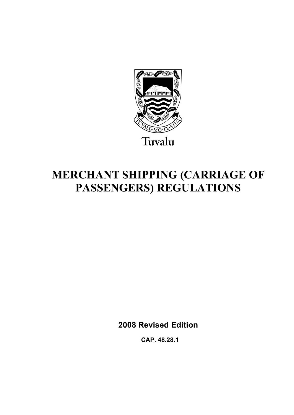

# **MERCHANT SHIPPING (CARRIAGE OF PASSENGERS) REGULATIONS**

**2008 Revised Edition** 

 **CAP. 48.28.1**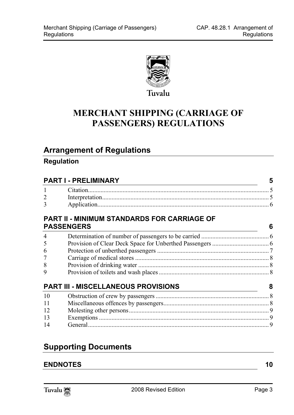

## **MERCHANT SHIPPING (CARRIAGE OF PASSENGERS) REGULATIONS**

## **Arrange[ment of Regulations](#page-4-1)**

### **Regulation**

| 6 |
|---|
|   |
|   |
|   |
|   |
|   |
|   |
| 8 |
|   |
|   |
|   |
|   |
|   |
|   |

## **Supporting Documents**

### **ENDNOTES** 10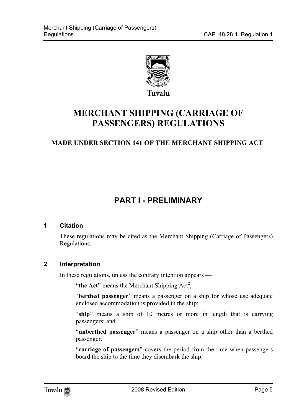

## **MERCHANT SHIPPING (CARRIAGE OF PASSENGERS) REGULATIONS**

### **MADE UNDER SECTION 141 OF THE MERCHANT SHIPPING ACT**<sup>1</sup>

## <span id="page-4-1"></span><span id="page-4-0"></span>**PART I - PRELIMINARY**

#### **1 Citation**

<span id="page-4-2"></span>These regulations may be cited as the Merchant Shipping (Carriage of Passengers) Regulations.

#### **2 Interpretation**

In these regulations, unless the contrary intention appears —

"the Act" means the Merchant Shipping Act<sup>2</sup>;

"**berthed passenger**" means a passenger on a ship for whose use adequate enclosed accommodation is provided in the ship;

"**ship**" means a ship of 10 metres or more in length that is carrying passengers; and

"**unberthed passenger**" means a passenger on a ship other than a berthed passenger.

"**carriage of passengers**" covers the period from the time when passengers board the ship to the time they disembark the ship.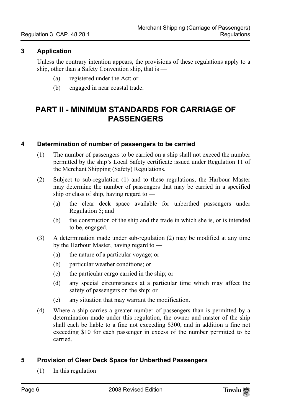#### **3 Application**

<span id="page-5-0"></span>Unless the contrary intention appears, the provisions of these regulations apply to a ship, other than a Safety Convention ship, that is —

- <span id="page-5-1"></span>(a) registered under the Act; or
- <span id="page-5-2"></span>(b) engaged in near coastal trade.

## **PART II - MINIMUM STANDARDS FOR CARRIAGE OF PASSENGERS**

#### **4 Determination of number of passengers to be carried**

- (1) The number of passengers to be carried on a ship shall not exceed the number permitted by the ship's Local Safety certificate issued under Regulation 11 of the Merchant Shipping (Safety) Regulations.
- (2) Subject to sub-regulation (1) and to these regulations, the Harbour Master may determine the number of passengers that may be carried in a specified ship or class of ship, having regard to —
	- (a) the clear deck space available for unberthed passengers under Regulation 5; and
	- (b) the construction of the ship and the trade in which she is, or is intended to be, engaged.
- (3) A determination made under sub-regulation (2) may be modified at any time by the Harbour Master, having regard to —
	- (a) the nature of a particular voyage; or
	- (b) particular weather conditions; or
	- (c) the particular cargo carried in the ship; or
	- (d) any special circumstances at a particular time which may affect the safety of passengers on the ship; or
	- (e) any situation that may warrant the modification.
- <span id="page-5-3"></span>(4) Where a ship carries a greater number of passengers than is permitted by a determination made under this regulation, the owner and master of the ship shall each be liable to a fine not exceeding \$300, and in addition a fine not exceeding \$10 for each passenger in excess of the number permitted to be carried.

#### **5 Provision of Clear Deck Space for Unberthed Passengers**

 $(1)$  In this regulation —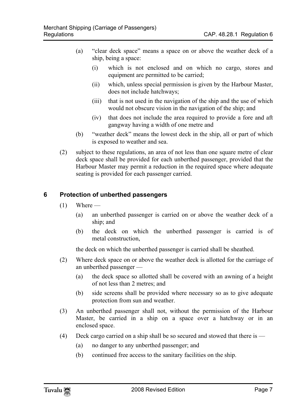- (a) "clear deck space" means a space on or above the weather deck of a ship, being a space:
	- (i) which is not enclosed and on which no cargo, stores and equipment are permitted to be carried;
	- (ii) which, unless special permission is given by the Harbour Master, does not include hatchways;
	- (iii) that is not used in the navigation of the ship and the use of which would not obscure vision in the navigation of the ship; and
	- (iv) that does not include the area required to provide a fore and aft gangway having a width of one metre and
- (b) "weather deck" means the lowest deck in the ship, all or part of which is exposed to weather and sea.
- <span id="page-6-0"></span>(2) subject to these regulations, an area of not less than one square metre of clear deck space shall be provided for each unberthed passenger, provided that the Harbour Master may permit a reduction in the required space where adequate seating is provided for each passenger carried.

#### **6 Protection of unberthed passengers**

- $(1)$  Where -
	- (a) an unberthed passenger is carried on or above the weather deck of a ship; and
	- (b) the deck on which the unberthed passenger is carried is of metal construction,

the deck on which the unberthed passenger is carried shall be sheathed.

- (2) Where deck space on or above the weather deck is allotted for the carriage of an unberthed passenger —
	- (a) the deck space so allotted shall be covered with an awning of a height of not less than 2 metres; and
	- (b) side screens shall be provided where necessary so as to give adequate protection from sun and weather.
- (3) An unberthed passenger shall not, without the permission of the Harbour Master, be carried in a ship on a space over a hatchway or in an enclosed space.
- (4) Deck cargo carried on a ship shall be so secured and stowed that there is
	- (a) no danger to any unberthed passenger; and
	- (b) continued free access to the sanitary facilities on the ship.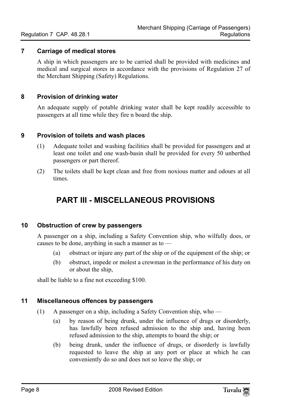#### **7 Carriage of medical stores**

<span id="page-7-1"></span><span id="page-7-0"></span>A ship in which passengers are to be carried shall be provided with medicines and medical and surgical stores in accordance with the provisions of Regulation 27 of the Merchant Shipping (Safety) Regulations.

#### **8 Provision of drinking water**

<span id="page-7-2"></span>An adequate supply of potable drinking water shall be kept readily accessible to passengers at all time while they fire n board the ship.

#### **9 Provision of toilets and wash places**

- (1) Adequate toilet and washing facilities shall be provided for passengers and at least one toilet and one wash-basin shall be provided for every 50 unberthed passengers or part thereof.
- (2) The toilets shall be kept clean and free from noxious matter and odours at all times.

### <span id="page-7-4"></span><span id="page-7-3"></span>**PART III - MISCELLANEOUS PROVISIONS**

#### **10 Obstruction of crew by passengers**

A passenger on a ship, including a Safety Convention ship, who wilfully does, or causes to be done, anything in such a manner as to —

- (a) obstruct or injure any part of the ship or of the equipment of the ship; or
- <span id="page-7-5"></span>(b) obstruct, impede or molest a crewman in the performance of his duty on or about the ship,

shall be liable to a fine not exceeding \$100.

#### **11 Miscellaneous offences by passengers**

- (1) A passenger on a ship, including a Safety Convention ship, who
	- (a) by reason of being drunk, under the influence of drugs or disorderly, has lawfully been refused admission to the ship and, having been refused admission to the ship, attempts to board the ship; or
	- (b) being drunk, under the influence of drugs, or disorderly is lawfully requested to leave the ship at any port or place at which he can conveniently do so and does not so leave the ship; or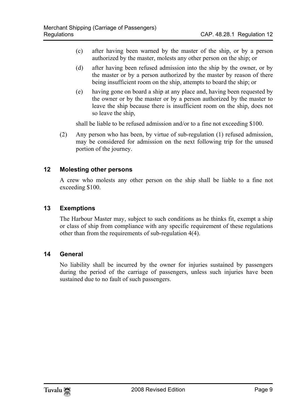- (c) after having been warned by the master of the ship, or by a person authorized by the master, molests any other person on the ship; or
- (d) after having been refused admission into the ship by the owner, or by the master or by a person authorized by the master by reason of there being insufficient room on the ship, attempts to board the ship; or
- (e) having gone on board a ship at any place and, having been requested by the owner or by the master or by a person authorized by the master to leave the ship because there is insufficient room on the ship, does not so leave the ship,

<span id="page-8-0"></span>shall be liable to be refused admission and/or to a fine not exceeding \$100.

(2) Any person who has been, by virtue of sub-regulation (1) refused admission, may be considered for admission on the next following trip for the unused portion of the journey.

#### **12 Molesting other persons**

<span id="page-8-1"></span>A crew who molests any other person on the ship shall be liable to a fine not exceeding \$100.

#### **13 Exemptions**

<span id="page-8-2"></span>The Harbour Master may, subject to such conditions as he thinks fit, exempt a ship or class of ship from compliance with any specific requirement of these regulations other than from the requirements of sub-regulation 4(4).

#### **14 General**

No liability shall be incurred by the owner for injuries sustained by passengers during the period of the carriage of passengers, unless such injuries have been sustained due to no fault of such passengers.